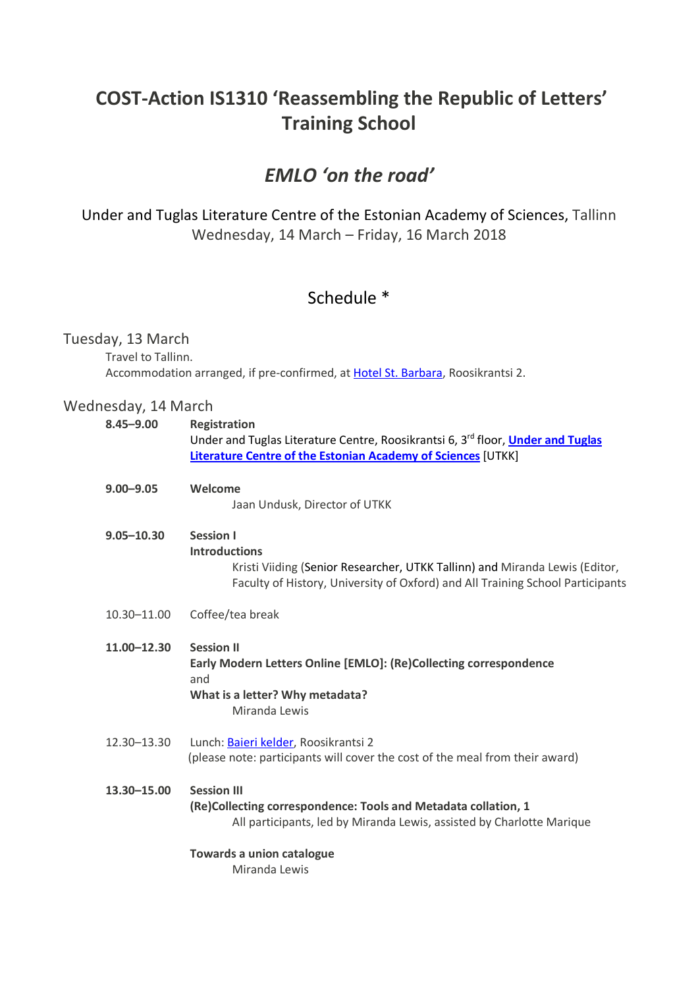# **COST-Action IS1310 'Reassembling the Republic of Letters' Training School**

## *EMLO 'on the road'*

Under and Tuglas Literature Centre of the Estonian Academy of Sciences, Tallinn Wednesday, 14 March – Friday, 16 March 2018

## Schedule \*

### Tuesday, 13 March

Travel to Tallinn. Accommodation arranged, if pre-confirmed, at Hotel St. Barbara, Roosikrantsi 2.

### Wednesday, 14 March

| $8.45 - 9.00$  | <b>Registration</b><br>Under and Tuglas Literature Centre, Roosikrantsi 6, 3rd floor, Under and Tuglas<br>Literature Centre of the Estonian Academy of Sciences [UTKK]                                    |
|----------------|-----------------------------------------------------------------------------------------------------------------------------------------------------------------------------------------------------------|
| $9.00 - 9.05$  | Welcome<br>Jaan Undusk, Director of UTKK                                                                                                                                                                  |
| $9.05 - 10.30$ | <b>Session I</b><br><b>Introductions</b><br>Kristi Viiding (Senior Researcher, UTKK Tallinn) and Miranda Lewis (Editor,<br>Faculty of History, University of Oxford) and All Training School Participants |
| 10.30-11.00    | Coffee/tea break                                                                                                                                                                                          |
| 11.00-12.30    | <b>Session II</b><br>Early Modern Letters Online [EMLO]: (Re)Collecting correspondence<br>and<br>What is a letter? Why metadata?<br>Miranda Lewis                                                         |
| 12.30-13.30    | Lunch: Baieri kelder, Roosikrantsi 2<br>(please note: participants will cover the cost of the meal from their award)                                                                                      |
| 13.30-15.00    | <b>Session III</b><br>(Re)Collecting correspondence: Tools and Metadata collation, 1<br>All participants, led by Miranda Lewis, assisted by Charlotte Marique                                             |
|                | <b>Towards a union catalogue</b><br>Miranda Lewis                                                                                                                                                         |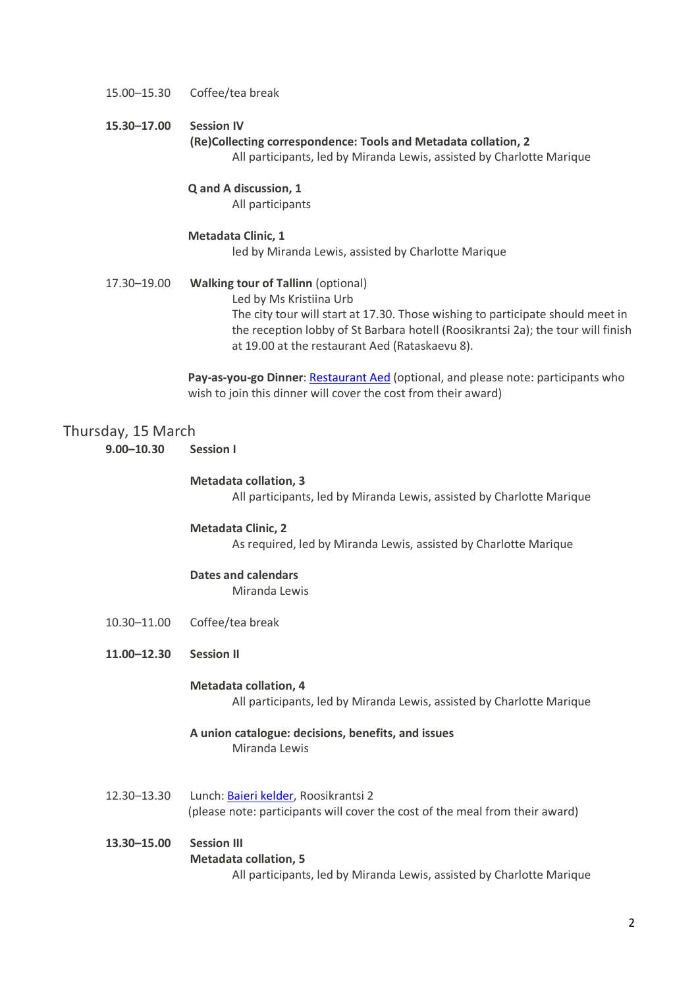#### 15.00–15.30 Coffee/tea break

#### **15.30–17.00 Session IV**

**(Re)Collecting correspondence: Tools and Metadata collation, 2** All participants, led by Miranda Lewis, assisted by Charlotte Marique

#### **Q and A discussion, 1**

All participants

#### **Metadata Clinic, 1**

led by Miranda Lewis, assisted by Charlotte Marique

17.30–19.00 **Walking tour of Tallinn** (optional) Led by Ms Kristiina Urb The city tour will start at 17.30. Those wishing to participate should meet in the reception lobby of St Barbara hotell (Roosikrantsi 2a); the tour will finish at 19.00 at the restaurant Aed (Rataskaevu 8).

> Pay-as-you-go Dinner: Restaurant Aed (optional, and please note: participants who wish to join this dinner will cover the cost from their award)

#### Thursday, 15 March

**9.00–10.30 Session I**

#### **Metadata collation, 3**

All participants, led by Miranda Lewis, assisted by Charlotte Marique

#### **Metadata Clinic, 2**

As required, led by Miranda Lewis, assisted by Charlotte Marique

#### **Dates and calendars**

Miranda Lewis

- 10.30–11.00 Coffee/tea break
- **11.00–12.30 Session II**

#### **Metadata collation, 4**

All participants, led by Miranda Lewis, assisted by Charlotte Marique

- **A union catalogue: decisions, benefits, and issues** Miranda Lewis
- 12.30–13.30 Lunch: Baieri kelder, Roosikrantsi 2 (please note: participants will cover the cost of the meal from their award)
- **13.30–15.00 Session III Metadata collation, 5** All participants, led by Miranda Lewis, assisted by Charlotte Marique